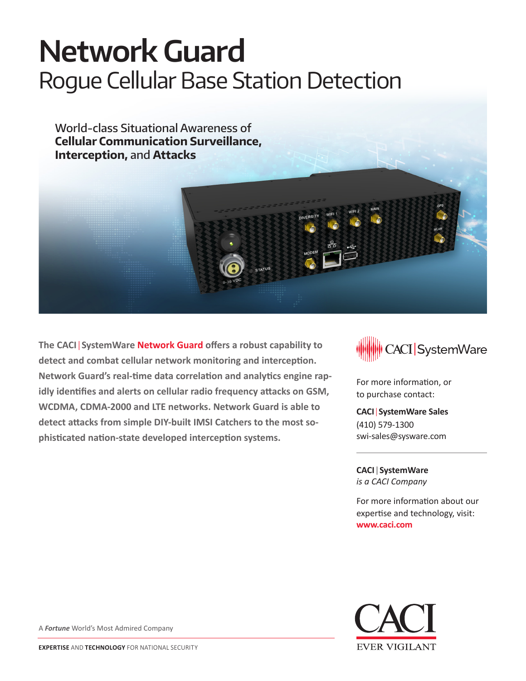# **Network Guard** Rogue Cellular Base Station Detection

World-class Situational Awareness of **Cellular Communication Surveillance, Interception,** and **Attacks**

**The CACI**|**SystemWare Network Guard offers a robust capability to detect and combat cellular network monitoring and interception. Network Guard's real-time data correlation and analytics engine rapidly identifies and alerts on cellular radio frequency attacks on GSM, WCDMA, CDMA-2000 and LTE networks. Network Guard is able to detect attacks from simple DIY-built IMSI Catchers to the most sophisticated nation-state developed interception systems.**



For more information, or to purchase contact:

**CACI**|**SystemWare Sales** (410) 579-1300 swi-sales@sysware.com

**CACI**|**SystemWare** *is a CACI Company*

For more information about our expertise and technology, visit: **www.caci.com**



A *Fortune* World's Most Admired Company